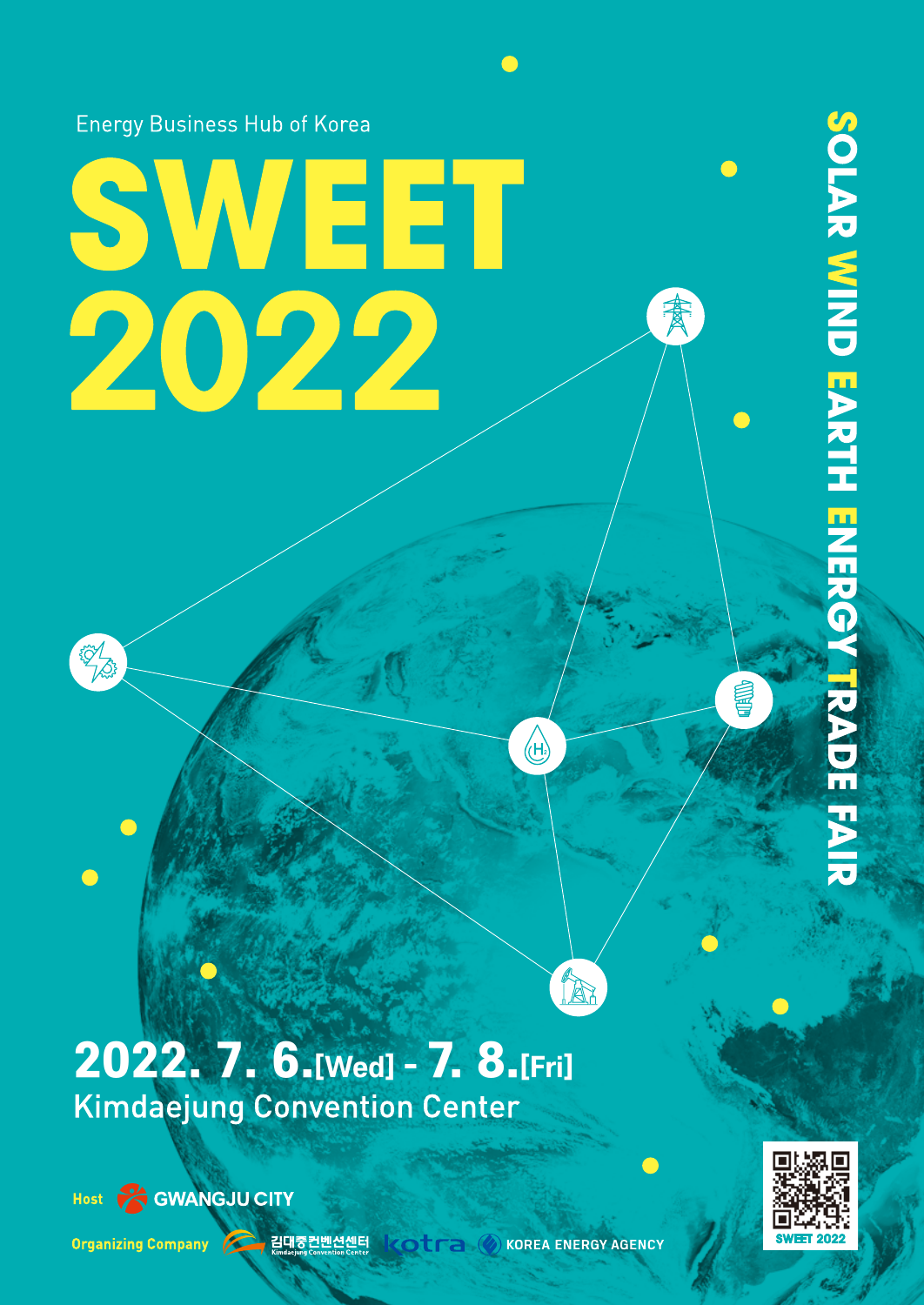**Energy Business Hub of Korea** 

# SWEET<br>2022

孟

2022. 7. 6.[Wed] - 7. 8.[Fri] **Kimdaejung Convention Center** 



EST LA

Host COWANGJU CITY

Organizing Company 2 김대중컨벤션센터 KOLTA ② KOREA ENERGY AGENCY

 $\overline{\mathcal{H}}$ 

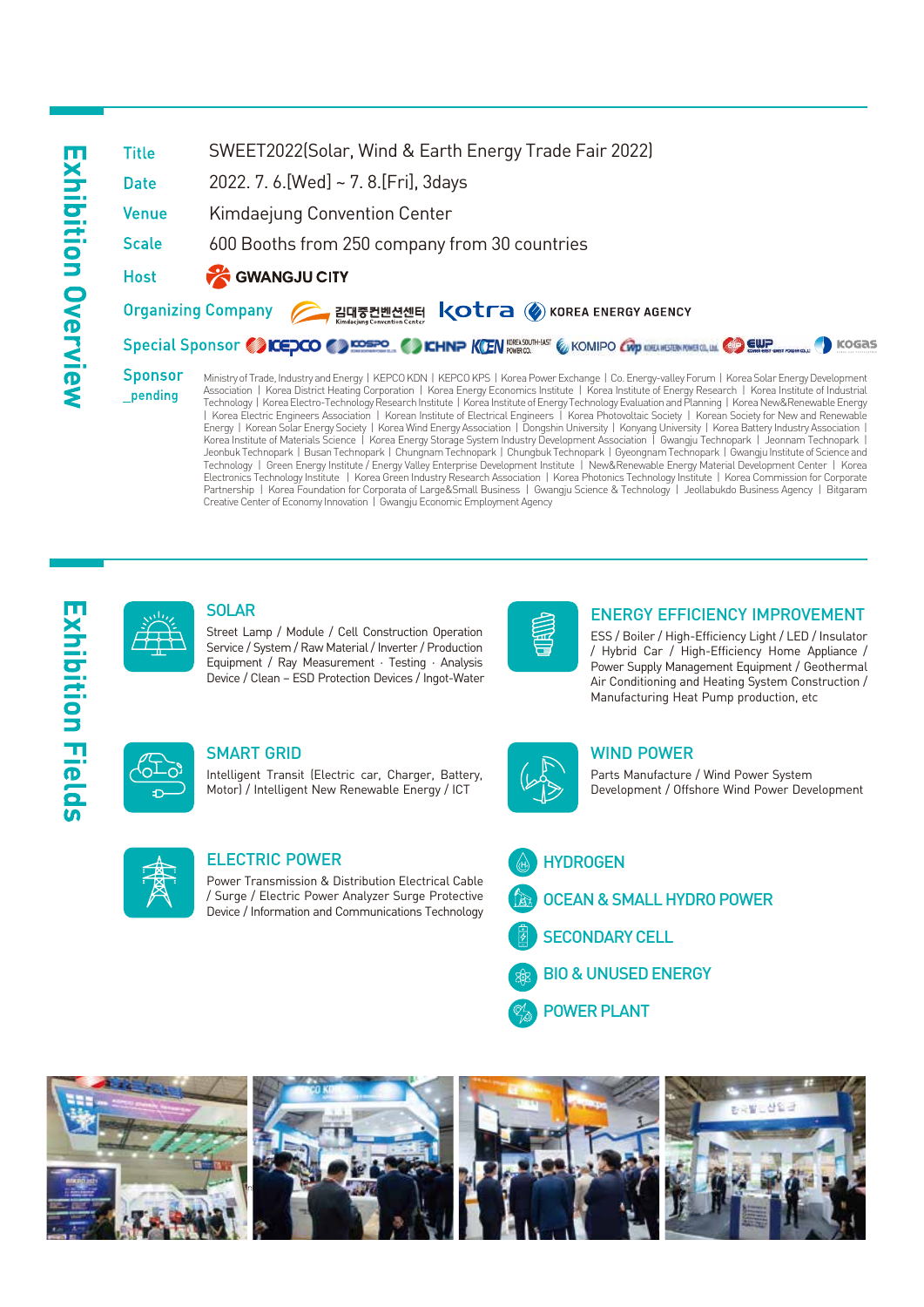### SWEET2022(Solar, Wind & Earth Energy Trade Fair 2022) **Title** 2022. 7. 6.[Wed] ~ 7. 8.[Fri], 3days **Date** Kimdaejung Convention Center **Venue Scale** 600 Booths from 250 company from 30 countries **CONANGUL CITY Host** Organizing Company 2 김대중컨벤션센터 < Otra ② KOREA ENERGY AGENCY Special Sponsor CONCEDCO CONSERVATION CONTINUES COMPO CROWNERS CONSERVANCE **Sponsor**

Ministry of Trade, Industry and Energy | KEPCO KDN | KEPCO KPS | Korea Power Exchange | Co. Energy-valley Forum | Korea Solar Energy Development Association | Korea District Heating Corporation | Korea Energy Economics Institute | Korea Institute of Energy Research | Korea Institute of Industrial Technology | Korea Electro-Technology Research Institute | Korea Institute of Energy Technology Evaluation and Planning | Korea New&Renewable Energy | Korea Electric Engineers Association | Korean Institute of Electrical Engineers | Korea Photovoltaic Society | Korean Society for New and Renewable Energy | Korean Solar Energy Society | Korea Wind Energy Association | Dongshin University | Konyang University | Korea Battery Industry Association | Korea Institute of Materials Science | Korea Energy Storage System Industry Development Association | Gwangju Technopark | Jeonnam Technopark | Jeonbuk Technopark | Busan Technopark | Chungnam Technopark | Chungbuk Technopark | Gyeongnam Technopark | Gwangju Institute of Science and Technology | Green Energy Institute / Energy Valley Enterprise Development Institute | New&Renewable Energy Material Development Center | Korea Electronics Technology Institute | Korea Green Industry Research Association | Korea Photonics Technology Institute | Korea Commission for Corporate Partnership | Korea Foundation for Corporata of Large&Small Business | Gwangju Science & Technology | Jeollabukdo Business Agency | Bitgaram Creative Center of Economy Innovation | Gwangju Economic Employment Agency



### SOLAR

Street Lamp / Module / Cell Construction Operation Service / System / Raw Material / Inverter / Production Equipment / Ray Measurement · Testing · Analysis Device / Clean – ESD Protection Devices / Ingot-Water



### ENERGY EFFICIENCY IMPROVEMENT

**O** KOGAS

ESS / Boiler / High-Efficiency Light / LED / Insulator / Hybrid Car / High-Efficiency Home Appliance / Power Supply Management Equipment / Geothermal Air Conditioning and Heating System Construction / Manufacturing Heat Pump production, etc



\_pending

### SMART GRID

Intelligent Transit (Electric car, Charger, Battery, Motor) / Intelligent New Renewable Energy / ICT



### WIND POWER

Parts Manufacture / Wind Power System Development / Offshore Wind Power Development



### ELECTRIC POWER

Power Transmission & Distribution Electrical Cable / Surge / Electric Power Analyzer Surge Protective Device / Information and Communications Technology

### **HYDROGEN**

- OCEAN & SMALL HYDRO POWER
- SECONDARY CELL
- BIO & UNUSED ENERGY



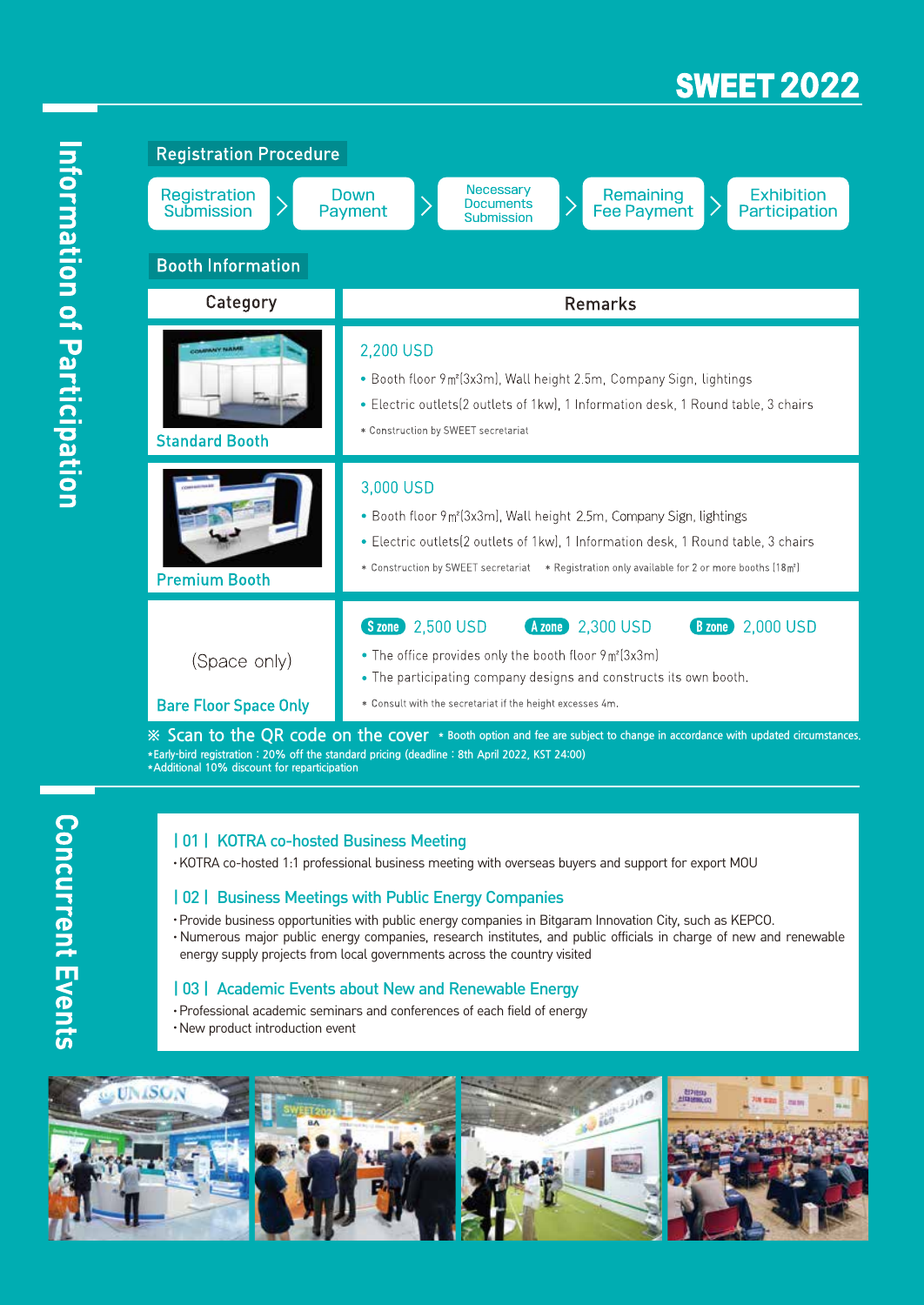## **SWEET 2022**

| <b>Registration Procedure</b>                                                                                             |                                                                                                                                                                                                                                                                                                 |
|---------------------------------------------------------------------------------------------------------------------------|-------------------------------------------------------------------------------------------------------------------------------------------------------------------------------------------------------------------------------------------------------------------------------------------------|
| Registration<br>Submission                                                                                                | Necessary<br>Remaining<br><b>Exhibition</b><br>Down<br><b>Documents</b><br><b>Fee Payment</b><br>Payment<br>Participation<br>Submission                                                                                                                                                         |
| <b>Booth Information</b>                                                                                                  |                                                                                                                                                                                                                                                                                                 |
| Category                                                                                                                  | <b>Remarks</b>                                                                                                                                                                                                                                                                                  |
| COMPANY NAME<br><b>Standard Booth</b>                                                                                     | 2,200 USD<br>• Booth floor 9m <sup>2</sup> (3x3m), Wall height 2.5m, Company Sign, lightings<br>• Electric outlets (2 outlets of 1 kw), 1 Information desk, 1 Round table, 3 chairs<br>* Construction by SWEET secretariat                                                                      |
| <b>Premium Booth</b>                                                                                                      | 3,000 USD<br>• Booth floor 9m <sup>2</sup> (3x3m), Wall height 2.5m, Company Sign, lightings<br>• Electric outlets(2 outlets of 1kw), 1 Information desk, 1 Round table, 3 chairs<br>* Construction by SWEET secretariat * Registration only available for 2 or more booths (18m <sup>2</sup> ) |
| (Space only)<br><b>Bare Floor Space Only</b>                                                                              | Szone 2,500 USD<br>Azone 2,300 USD<br>2,000 USD<br><b>B</b> zone<br>• The office provides only the booth floor $9 \text{ m}^2(3 \text{x} 3 \text{m})$<br>• The participating company designs and constructs its own booth.<br>* Consult with the secretariat if the height excesses 4m.         |
| ※ Scan to the QR code on the cover * Booth option and fee are subject to change in accordance with updated circumstances. |                                                                                                                                                                                                                                                                                                 |

**\*Early-bird registration : 20% off the standard pricing (deadline : 8th April 2022, KST 24:00) \*Additional 10% discount for reparticipation**

### | 01 | KOTRA co-hosted Business Meeting

•KOTRA co-hosted 1:1 professional business meeting with overseas buyers and support for export MOU

### | 02 | Business Meetings with Public Energy Companies

- •Provide business opportunities with public energy companies in Bitgaram Innovation City, such as KEPCO.
- Numerous major public energy companies, research institutes, and public officials in charge of new and renewable energy supply projects from local governments across the country visited

### | 03 | Academic Events about New and Renewable Energy

- •Professional academic seminars and conferences of each field of energy
- •New product introduction event



**Concurrent Events**